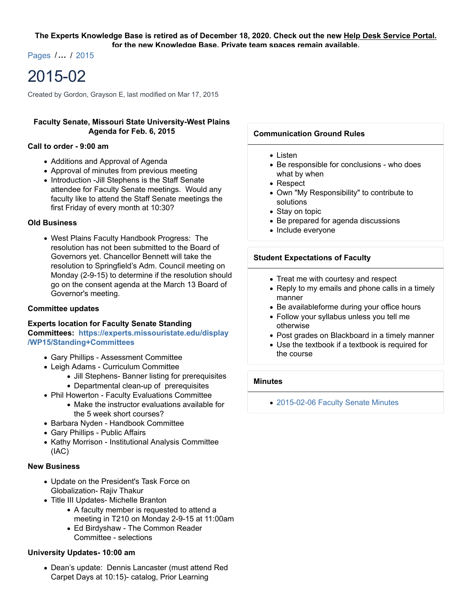Pages /**…** / 2015

# 2015-02

Created by Gordon, Grayson E, last modified on Mar 17, 2015

## **Faculty Senate, Missouri State University-West Plains Agenda for Feb. 6, 2015**

#### **Call to order - 9:00 am**

- Additions and Approval of Agenda
- Approval of minutes from previous meeting
- Introduction -Jill Stephens is the Staff Senate attendee for Faculty Senate meetings. Would any faculty like to attend the Staff Senate meetings the first Friday of every month at 10:30?

## **Old Business**

West Plains Faculty Handbook Progress: The resolution has not been submitted to the Board of Governors yet. Chancellor Bennett will take the resolution to Springfield's Adm. Council meeting on Monday (2-9-15) to determine if the resolution should go on the consent agenda at the March 13 Board of Governor's meeting.

#### **Committee updates**

**Experts location for Faculty Senate Standing**

**Committees: https://experts.missouristate.edu/display /WP15/Standing+Committees**

- Gary Phillips Assessment Committee
- Leigh Adams Curriculum Committee
	- Jill Stephens- Banner listing for prerequisites
	- Departmental clean-up of prerequisites
- Phil Howerton Faculty Evaluations Committee
	- Make the instructor evaluations available for the 5 week short courses?
- Barbara Nyden Handbook Committee
- Gary Phillips Public Affairs
- Kathy Morrison Institutional Analysis Committee (IAC)

## **New Business**

- Update on the President's Task Force on Globalization- Rajiv Thakur
- Title III Updates- Michelle Branton
	- A faculty member is requested to attend a meeting in T210 on Monday 2-9-15 at 11:00am
	- Ed Birdyshaw The Common Reader Committee - selections

## **University Updates- 10:00 am**

Dean's update: Dennis Lancaster (must attend Red Carpet Days at 10:15)- catalog, Prior Learning

## **Communication Ground Rules**

- $\bullet$  Listen
- Be responsible for conclusions who does what by when
- Respect
- Own "My Responsibility" to contribute to solutions
- Stay on topic
- Be prepared for agenda discussions
- Include everyone

## **Student Expectations of Faculty**

- Treat me with courtesy and respect
- Reply to my emails and phone calls in a timely manner
- Be availableforme during your office hours
- Follow your syllabus unless you tell me otherwise
- Post grades on Blackboard in a timely manner
- Use the textbook if a textbook is required for the course

## **Minutes**

2015-02-06 Faculty Senate Minutes